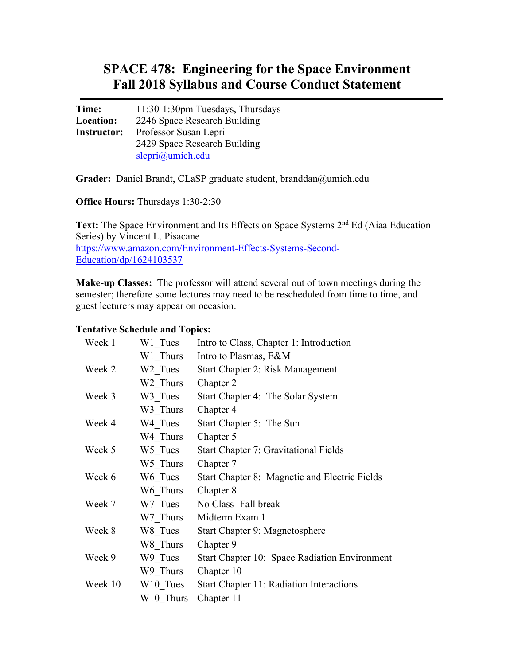# **SPACE 478: Engineering for the Space Environment Fall 2018 Syllabus and Course Conduct Statement**

**Time:** 11:30-1:30pm Tuesdays, Thursdays **Location:** 2246 Space Research Building **Instructor:** Professor Susan Lepri 2429 Space Research Building slepri@umich.edu

**Grader:** Daniel Brandt, CLaSP graduate student, branddan@umich.edu

**Office Hours:** Thursdays 1:30-2:30

Text: The Space Environment and Its Effects on Space Systems 2<sup>nd</sup> Ed (Aiaa Education Series) by Vincent L. Pisacane https://www.amazon.com/Environment-Effects-Systems-Second-Education/dp/1624103537

**Make-up Classes:** The professor will attend several out of town meetings during the semester; therefore some lectures may need to be rescheduled from time to time, and guest lecturers may appear on occasion.

#### **Tentative Schedule and Topics:**

| Week 1  | W1 Tues              | Intro to Class, Chapter 1: Introduction       |
|---------|----------------------|-----------------------------------------------|
|         | W1 Thurs             | Intro to Plasmas, E&M                         |
| Week 2  | W <sub>2</sub> Tues  | Start Chapter 2: Risk Management              |
|         | W2 Thurs             | Chapter 2                                     |
| Week 3  | W3 Tues              | Start Chapter 4: The Solar System             |
|         | W3 Thurs             | Chapter 4                                     |
| Week 4  | W4 Tues              | Start Chapter 5: The Sun                      |
|         | W4 Thurs             | Chapter 5                                     |
| Week 5  | W5 Tues              | Start Chapter 7: Gravitational Fields         |
|         | W5 Thurs             | Chapter 7                                     |
| Week 6  | W6 Tues              | Start Chapter 8: Magnetic and Electric Fields |
|         | W6 Thurs             | Chapter 8                                     |
| Week 7  | W7 Tues              | No Class-Fall break                           |
|         | W7 Thurs             | Midterm Exam 1                                |
| Week 8  | W8 Tues              | Start Chapter 9: Magnetosphere                |
|         | W8 Thurs             | Chapter 9                                     |
| Week 9  | W9 Tues              | Start Chapter 10: Space Radiation Environment |
|         | W9 Thurs             | Chapter 10                                    |
| Week 10 | W <sub>10</sub> Tues | Start Chapter 11: Radiation Interactions      |
|         | W10 Thurs            | Chapter 11                                    |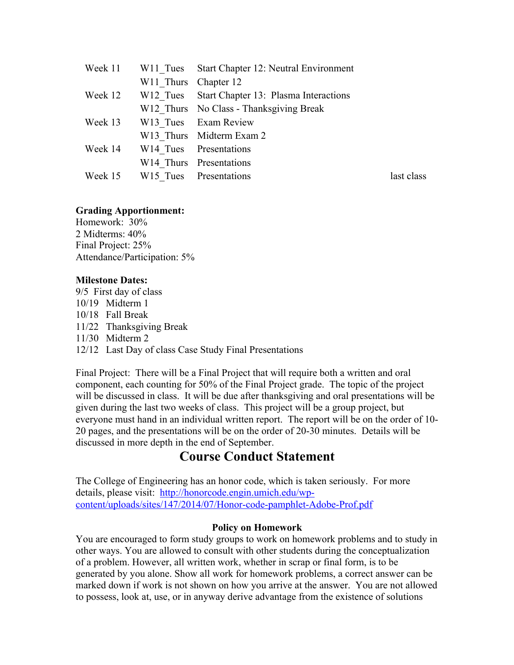|         |                      | Week 11 W11 Tues Start Chapter 12: Neutral Environment |            |
|---------|----------------------|--------------------------------------------------------|------------|
|         | W11 Thurs Chapter 12 |                                                        |            |
| Week 12 |                      | W12 Tues Start Chapter 13: Plasma Interactions         |            |
|         |                      | W12 Thurs No Class - Thanksgiving Break                |            |
| Week 13 |                      | W13 Tues Exam Review                                   |            |
|         |                      | W13 Thurs Midterm Exam 2                               |            |
| Week 14 |                      | W14 Tues Presentations                                 |            |
|         |                      | W14 Thurs Presentations                                |            |
|         |                      | Week 15 W15 Tues Presentations                         | last class |

### **Grading Apportionment:**

Homework: 30% 2 Midterms: 40% Final Project: 25% Attendance/Participation: 5%

### **Milestone Dates:**

9/5 First day of class 10/19 Midterm 1 10/18 Fall Break 11/22 Thanksgiving Break 11/30 Midterm 2 12/12 Last Day of class Case Study Final Presentations

Final Project: There will be a Final Project that will require both a written and oral component, each counting for 50% of the Final Project grade. The topic of the project will be discussed in class. It will be due after thanksgiving and oral presentations will be given during the last two weeks of class. This project will be a group project, but everyone must hand in an individual written report. The report will be on the order of 10- 20 pages, and the presentations will be on the order of 20-30 minutes. Details will be discussed in more depth in the end of September.

## **Course Conduct Statement**

The College of Engineering has an honor code, which is taken seriously. For more details, please visit: http://honorcode.engin.umich.edu/wpcontent/uploads/sites/147/2014/07/Honor-code-pamphlet-Adobe-Prof.pdf

### **Policy on Homework**

You are encouraged to form study groups to work on homework problems and to study in other ways. You are allowed to consult with other students during the conceptualization of a problem. However, all written work, whether in scrap or final form, is to be generated by you alone. Show all work for homework problems, a correct answer can be marked down if work is not shown on how you arrive at the answer. You are not allowed to possess, look at, use, or in anyway derive advantage from the existence of solutions